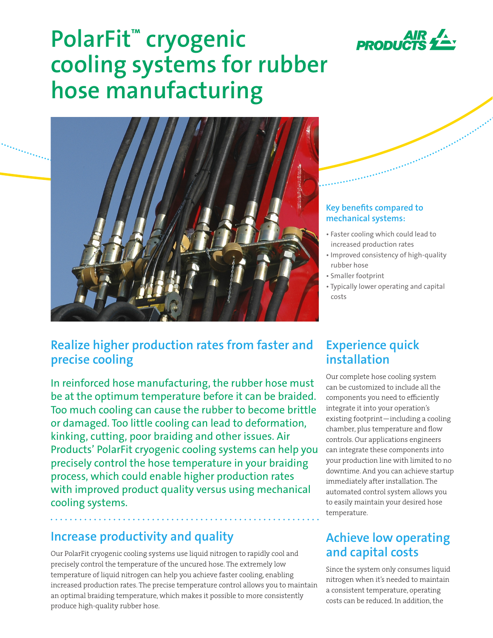

# **PolarFit™ cryogenic cooling systems for rubber hose manufacturing**



#### **Key benefits compared to mechanical systems:**

- Faster cooling which could lead to increased production rates
- Improved consistency of high-quality rubber hose
- Smaller footprint
- Typically lower operating and capital costs

### **Realize higher production rates from faster and precise cooling**

In reinforced hose manufacturing, the rubber hose must be at the optimum temperature before it can be braided. Too much cooling can cause the rubber to become brittle or damaged. Too little cooling can lead to deformation, kinking, cutting, poor braiding and other issues. Air Products' PolarFit cryogenic cooling systems can help you precisely control the hose temperature in your braiding process, which could enable higher production rates with improved product quality versus using mechanical cooling systems.

## **Increase productivity and quality**

Our PolarFit cryogenic cooling systems use liquid nitrogen to rapidly cool and precisely control the temperature of the uncured hose. The extremely low temperature of liquid nitrogen can help you achieve faster cooling, enabling increased production rates. The precise temperature control allows you to maintain an optimal braiding temperature, which makes it possible to more consistently produce high-quality rubber hose.

### **Experience quick installation**

Our complete hose cooling system can be customized to include all the components you need to efficiently integrate it into your operation's existing footprint—including a cooling chamber, plus temperature and flow controls. Our applications engineers can integrate these components into your production line with limited to no downtime. And you can achieve startup immediately after installation. The automated control system allows you to easily maintain your desired hose temperature.

## **Achieve low operating and capital costs**

Since the system only consumes liquid nitrogen when it's needed to maintain a consistent temperature, operating costs can be reduced. In addition, the